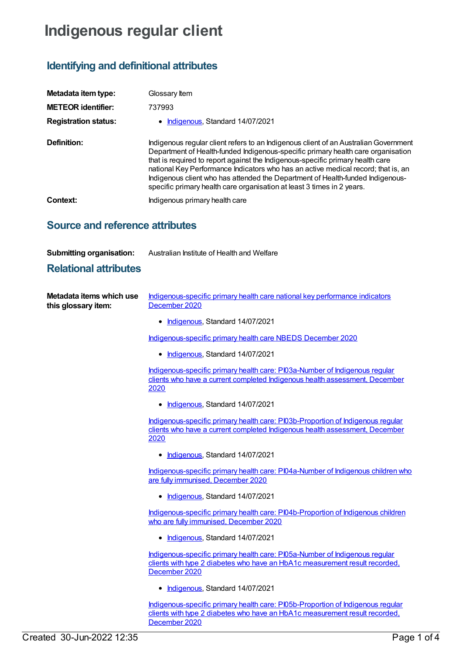# **Indigenous regular client**

## **Identifying and definitional attributes**

| Metadata item type:         | Glossary Item                                                                                                                                                                                                                                                                                                                                                                                                                                                                                               |
|-----------------------------|-------------------------------------------------------------------------------------------------------------------------------------------------------------------------------------------------------------------------------------------------------------------------------------------------------------------------------------------------------------------------------------------------------------------------------------------------------------------------------------------------------------|
| <b>METEOR identifier:</b>   | 737993                                                                                                                                                                                                                                                                                                                                                                                                                                                                                                      |
| <b>Registration status:</b> | • Indigenous, Standard 14/07/2021                                                                                                                                                                                                                                                                                                                                                                                                                                                                           |
| Definition:                 | Indigenous regular client refers to an Indigenous client of an Australian Government<br>Department of Health-funded Indigenous-specific primary health care organisation<br>that is required to report against the Indigenous-specific primary health care<br>national Key Performance Indicators who has an active medical record; that is, an<br>Indigenous client who has attended the Department of Health-funded Indigenous-<br>specific primary health care organisation at least 3 times in 2 years. |
| Context:                    | Indigenous primary health care                                                                                                                                                                                                                                                                                                                                                                                                                                                                              |

### **Source and reference attributes**

#### **Submitting organisation:** Australian Institute of Health and Welfare

#### **Relational attributes**

| Metadata items which use | Indigenous-specific primary health care national key performance indicators |
|--------------------------|-----------------------------------------------------------------------------|
| this glossary item:      | December 2020                                                               |

• [Indigenous](https://meteor.aihw.gov.au/RegistrationAuthority/6), Standard 14/07/2021

[Indigenous-specific](https://meteor.aihw.gov.au/content/738532) primary health care NBEDS December 2020

• [Indigenous](https://meteor.aihw.gov.au/RegistrationAuthority/6), Standard 14/07/2021

[Indigenous-specific](https://meteor.aihw.gov.au/content/731791) primary health care: PI03a-Number of Indigenous regular clients who have a current completed Indigenous health assessment, December 2020

• [Indigenous](https://meteor.aihw.gov.au/RegistrationAuthority/6), Standard 14/07/2021

[Indigenous-specific](https://meteor.aihw.gov.au/content/731804) primary health care: PI03b-Proportion of Indigenous regular clients who have a current completed Indigenous health assessment, December 2020

• [Indigenous](https://meteor.aihw.gov.au/RegistrationAuthority/6), Standard 14/07/2021

[Indigenous-specific](https://meteor.aihw.gov.au/content/739311) primary health care: PI04a-Number of Indigenous children who are fully immunised, December 2020

• [Indigenous](https://meteor.aihw.gov.au/RegistrationAuthority/6), Standard 14/07/2021

[Indigenous-specific](https://meteor.aihw.gov.au/content/739342) primary health care: PI04b-Proportion of Indigenous children who are fully immunised, December 2020

• [Indigenous](https://meteor.aihw.gov.au/RegistrationAuthority/6), Standard 14/07/2021

[Indigenous-specific](https://meteor.aihw.gov.au/content/739345) primary health care: PI05a-Number of Indigenous regular clients with type 2 diabetes who have an HbA1c measurement result recorded, December 2020

• [Indigenous](https://meteor.aihw.gov.au/RegistrationAuthority/6), Standard 14/07/2021

[Indigenous-specific](https://meteor.aihw.gov.au/content/739347) primary health care: PI05b-Proportion of Indigenous regular clients with type 2 diabetes who have an HbA1c measurement result recorded, December 2020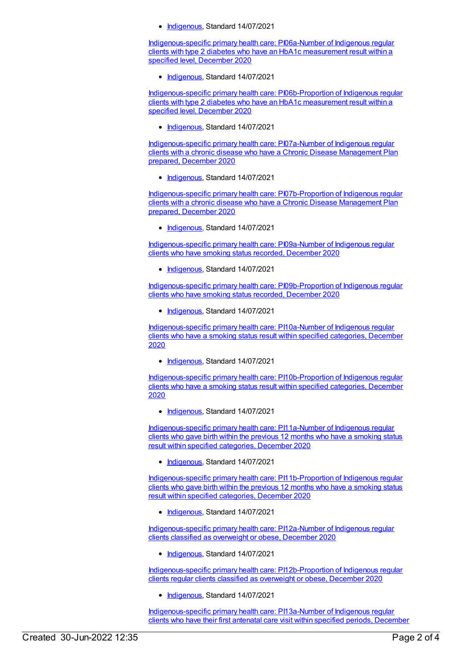• [Indigenous](https://meteor.aihw.gov.au/RegistrationAuthority/6), Standard 14/07/2021

[Indigenous-specific](https://meteor.aihw.gov.au/content/739351) primary health care: PI06a-Number of Indigenous regular clients with type 2 diabetes who have an HbA1c measurement result within a specified level, December 2020

• [Indigenous](https://meteor.aihw.gov.au/RegistrationAuthority/6), Standard 14/07/2021

[Indigenous-specific](https://meteor.aihw.gov.au/content/739353) primary health care: PI06b-Proportion of Indigenous regular clients with type 2 diabetes who have an HbA1c measurement result within a specified level, December 2020

• [Indigenous](https://meteor.aihw.gov.au/RegistrationAuthority/6), Standard 14/07/2021

[Indigenous-specific](https://meteor.aihw.gov.au/content/731823) primary health care: PI07a-Number of Indigenous regular clients with a chronic disease who have a Chronic Disease Management Plan prepared, December 2020

• [Indigenous](https://meteor.aihw.gov.au/RegistrationAuthority/6), Standard 14/07/2021

[Indigenous-specific](https://meteor.aihw.gov.au/content/731846) primary health care: PI07b-Proportion of Indigenous regular clients with a chronic disease who have a Chronic Disease Management Plan prepared, December 2020

• [Indigenous](https://meteor.aihw.gov.au/RegistrationAuthority/6), Standard 14/07/2021

[Indigenous-specific](https://meteor.aihw.gov.au/content/739361) primary health care: PI09a-Number of Indigenous regular clients who have smoking status recorded, December 2020

• [Indigenous](https://meteor.aihw.gov.au/RegistrationAuthority/6), Standard 14/07/2021

[Indigenous-specific](https://meteor.aihw.gov.au/content/739363) primary health care: PI09b-Proportion of Indigenous regular clients who have smoking status recorded, December 2020

• [Indigenous](https://meteor.aihw.gov.au/RegistrationAuthority/6), Standard 14/07/2021

[Indigenous-specific](https://meteor.aihw.gov.au/content/739370) primary health care: PI10a-Number of Indigenous regular clients who have a smoking status result within specified categories, December 2020

• [Indigenous](https://meteor.aihw.gov.au/RegistrationAuthority/6), Standard 14/07/2021

[Indigenous-specific](https://meteor.aihw.gov.au/content/739372) primary health care: PI10b-Proportion of Indigenous regular clients who have a smoking status result within specified categories, December 2020

• [Indigenous](https://meteor.aihw.gov.au/RegistrationAuthority/6), Standard 14/07/2021

[Indigenous-specific](https://meteor.aihw.gov.au/content/739375) primary health care: PI11a-Number of Indigenous regular clients who gave birth within the previous 12 months who have a smoking status result within specified categories, December 2020

• [Indigenous](https://meteor.aihw.gov.au/RegistrationAuthority/6), Standard 14/07/2021

[Indigenous-specific](https://meteor.aihw.gov.au/content/739380) primary health care: PI11b-Proportion of Indigenous regular clients who gave birth within the previous 12 months who have a smoking status result within specified categories, December 2020

• [Indigenous](https://meteor.aihw.gov.au/RegistrationAuthority/6), Standard 14/07/2021

[Indigenous-specific](https://meteor.aihw.gov.au/content/739384) primary health care: PI12a-Number of Indigenous regular clients classified as overweight or obese, December 2020

• [Indigenous](https://meteor.aihw.gov.au/RegistrationAuthority/6), Standard 14/07/2021

[Indigenous-specific](https://meteor.aihw.gov.au/content/739386) primary health care: PI12b-Proportion of Indigenous regular clients regular clients classified as overweight or obese, December 2020

• [Indigenous](https://meteor.aihw.gov.au/RegistrationAuthority/6), Standard 14/07/2021

[Indigenous-specific](https://meteor.aihw.gov.au/content/739389) primary health care: PI13a-Number of Indigenous regular clients who have their first antenatal care visit within specified periods, December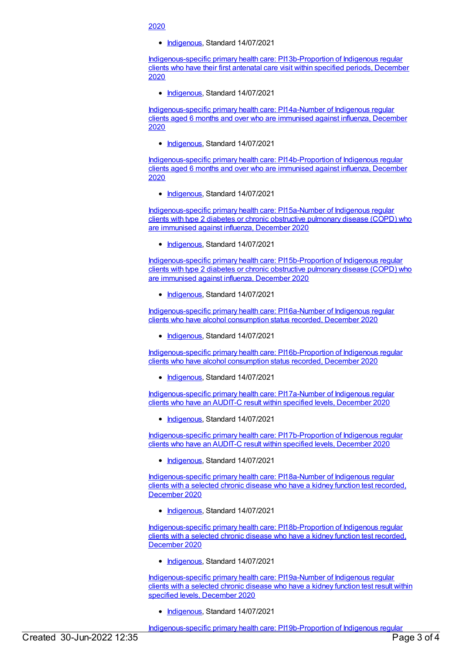#### 2020

• [Indigenous](https://meteor.aihw.gov.au/RegistrationAuthority/6), Standard 14/07/2021

[Indigenous-specific](https://meteor.aihw.gov.au/content/739391) primary health care: PI13b-Proportion of Indigenous regular clients who have their first antenatal care visit within specified periods, December 2020

• [Indigenous](https://meteor.aihw.gov.au/RegistrationAuthority/6), Standard 14/07/2021

[Indigenous-specific](https://meteor.aihw.gov.au/content/731851) primary health care: PI14a-Number of Indigenous regular clients aged 6 months and over who are immunised against influenza, December 2020

• [Indigenous](https://meteor.aihw.gov.au/RegistrationAuthority/6), Standard 14/07/2021

[Indigenous-specific](https://meteor.aihw.gov.au/content/731856) primary health care: PI14b-Proportion of Indigenous regular clients aged 6 months and over who are immunised against influenza, December 2020

• [Indigenous](https://meteor.aihw.gov.au/RegistrationAuthority/6), Standard 14/07/2021

[Indigenous-specific](https://meteor.aihw.gov.au/content/739397) primary health care: PI15a-Number of Indigenous regular clients with type 2 diabetes or chronic obstructive pulmonary disease (COPD) who are immunised against influenza, December 2020

• [Indigenous](https://meteor.aihw.gov.au/RegistrationAuthority/6), Standard 14/07/2021

[Indigenous-specific](https://meteor.aihw.gov.au/content/739399) primary health care: PI15b-Proportion of Indigenous regular clients with type 2 diabetes or chronic obstructive pulmonary disease (COPD) who are immunised against influenza, December 2020

• [Indigenous](https://meteor.aihw.gov.au/RegistrationAuthority/6), Standard 14/07/2021

[Indigenous-specific](https://meteor.aihw.gov.au/content/739402) primary health care: PI16a-Number of Indigenous regular clients who have alcohol consumption status recorded, December 2020

• [Indigenous](https://meteor.aihw.gov.au/RegistrationAuthority/6), Standard 14/07/2021

[Indigenous-specific](https://meteor.aihw.gov.au/content/739405) primary health care: PI16b-Proportion of Indigenous regular clients who have alcohol consumption status recorded, December 2020

• [Indigenous](https://meteor.aihw.gov.au/RegistrationAuthority/6), Standard 14/07/2021

[Indigenous-specific](https://meteor.aihw.gov.au/content/739423) primary health care: PI17a-Number of Indigenous regular clients who have an AUDIT-C result within specified levels, December 2020

• [Indigenous](https://meteor.aihw.gov.au/RegistrationAuthority/6), Standard 14/07/2021

[Indigenous-specific](https://meteor.aihw.gov.au/content/739426) primary health care: PI17b-Proportion of Indigenous regular clients who have an AUDIT-C result within specified levels, December 2020

• [Indigenous](https://meteor.aihw.gov.au/RegistrationAuthority/6), Standard 14/07/2021

[Indigenous-specific](https://meteor.aihw.gov.au/content/739436) primary health care: PI18a-Number of Indigenous regular clients with a selected chronic disease who have a kidney function test recorded, December 2020

• [Indigenous](https://meteor.aihw.gov.au/RegistrationAuthority/6), Standard 14/07/2021

[Indigenous-specific](https://meteor.aihw.gov.au/content/739438) primary health care: PI18b-Proportion of Indigenous regular clients with a selected chronic disease who have a kidney function test recorded, December 2020

• [Indigenous](https://meteor.aihw.gov.au/RegistrationAuthority/6), Standard 14/07/2021

[Indigenous-specific](https://meteor.aihw.gov.au/content/739450) primary health care: PI19a-Number of Indigenous regular clients with a selected chronic disease who have a kidney function test result within specified levels, December 2020

**[Indigenous](https://meteor.aihw.gov.au/RegistrationAuthority/6)**, Standard 14/07/2021